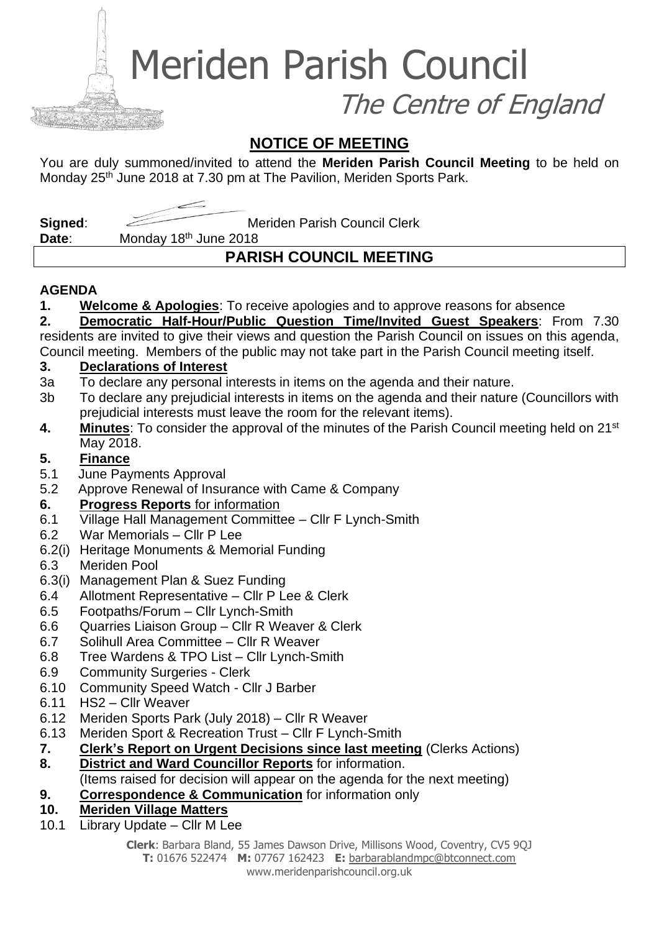Meriden Parish Council

The Centre of England

### **NOTICE OF MEETING**

You are duly summoned/invited to attend the **Meriden Parish Council Meeting** to be held on Monday 25<sup>th</sup> June 2018 at 7.30 pm at The Pavilion, Meriden Sports Park.

**Signed:** Meriden Parish Council Clerk

**Date**: Monday 18th June 2018

## **PARISH COUNCIL MEETING**

#### **AGENDA**

**1. Welcome & Apologies**: To receive apologies and to approve reasons for absence

**2. Democratic Half-Hour/Public Question Time/Invited Guest Speakers**: From 7.30 residents are invited to give their views and question the Parish Council on issues on this agenda, Council meeting. Members of the public may not take part in the Parish Council meeting itself.

## **3. Declarations of Interest**

- 3a To declare any personal interests in items on the agenda and their nature.
- 3b To declare any prejudicial interests in items on the agenda and their nature (Councillors with prejudicial interests must leave the room for the relevant items).
- **4. Minutes**: To consider the approval of the minutes of the Parish Council meeting held on 21st May 2018.

#### **5. Finance**

- 5.1 June Payments Approval
- 5.2 Approve Renewal of Insurance with Came & Company

#### **6. Progress Reports** for information

- 6.1 Village Hall Management Committee Cllr F Lynch-Smith
- 6.2 War Memorials Cllr P Lee
- 6.2(i) Heritage Monuments & Memorial Funding
- 6.3 Meriden Pool
- 6.3(i) Management Plan & Suez Funding
- 6.4 Allotment Representative Cllr P Lee & Clerk
- 6.5 Footpaths/Forum Cllr Lynch-Smith
- 6.6 Quarries Liaison Group Cllr R Weaver & Clerk
- 6.7 Solihull Area Committee Cllr R Weaver
- 6.8 Tree Wardens & TPO List Cllr Lynch-Smith
- 6.9 Community Surgeries Clerk
- 6.10 Community Speed Watch Cllr J Barber
- 6.11 HS2 Cllr Weaver
- 6.12 Meriden Sports Park (July 2018) Cllr R Weaver
- 6.13 Meriden Sport & Recreation Trust Cllr F Lynch-Smith
- **7. Clerk's Report on Urgent Decisions since last meeting** (Clerks Actions)
- **8. District and Ward Councillor Reports** for information.
- (Items raised for decision will appear on the agenda for the next meeting)
- **9. Correspondence & Communication** for information only
- **10. Meriden Village Matters**
- 10.1 Library Update Cllr M Lee